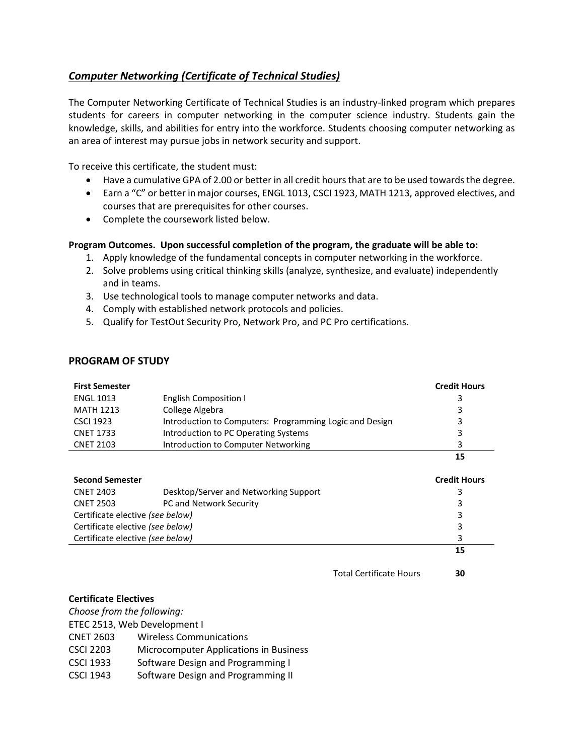## <span id="page-0-0"></span>*Computer Networking [\(Certificate of Technical Studies\)](#page-0-0)*

The Computer Networking Certificate of Technical Studies is an industry-linked program which prepares students for careers in computer networking in the computer science industry. Students gain the knowledge, skills, and abilities for entry into the workforce. Students choosing computer networking as an area of interest may pursue jobs in network security and support.

To receive this certificate, the student must:

- Have a cumulative GPA of 2.00 or better in all credit hours that are to be used towards the degree.
- Earn a "C" or better in major courses, ENGL 1013, CSCI 1923, MATH 1213, approved electives, and courses that are prerequisites for other courses.
- Complete the coursework listed below.

## **Program Outcomes. Upon successful completion of the program, the graduate will be able to:**

- 1. Apply knowledge of the fundamental concepts in computer networking in the workforce.
- 2. Solve problems using critical thinking skills (analyze, synthesize, and evaluate) independently and in teams.
- 3. Use technological tools to manage computer networks and data.
- 4. Comply with established network protocols and policies.
- 5. Qualify for TestOut Security Pro, Network Pro, and PC Pro certifications.

## **PROGRAM OF STUDY**

| <b>First Semester</b> |                                                         | <b>Credit Hours</b> |
|-----------------------|---------------------------------------------------------|---------------------|
| <b>ENGL 1013</b>      | English Composition I                                   |                     |
| <b>MATH 1213</b>      | College Algebra                                         | 3                   |
| <b>CSCI 1923</b>      | Introduction to Computers: Programming Logic and Design |                     |
| <b>CNET 1733</b>      | Introduction to PC Operating Systems                    |                     |
| <b>CNET 2103</b>      | Introduction to Computer Networking                     | ર                   |
|                       |                                                         | 15                  |

| <b>Second Semester</b>           |                                       | <b>Credit Hours</b> |  |
|----------------------------------|---------------------------------------|---------------------|--|
| <b>CNET 2403</b>                 | Desktop/Server and Networking Support |                     |  |
| <b>CNET 2503</b>                 | PC and Network Security               | 3                   |  |
| Certificate elective (see below) |                                       | 3                   |  |
| Certificate elective (see below) |                                       | 3                   |  |
| Certificate elective (see below) |                                       | ς                   |  |
|                                  |                                       | 15                  |  |

Total Certificate Hours **30**

## **Certificate Electives**

*Choose from the following:* ETEC 2513, Web Development I CNET 2603 Wireless Communications CSCI 2203 Microcomputer Applications in Business CSCI 1933 Software Design and Programming I CSCI 1943 Software Design and Programming II